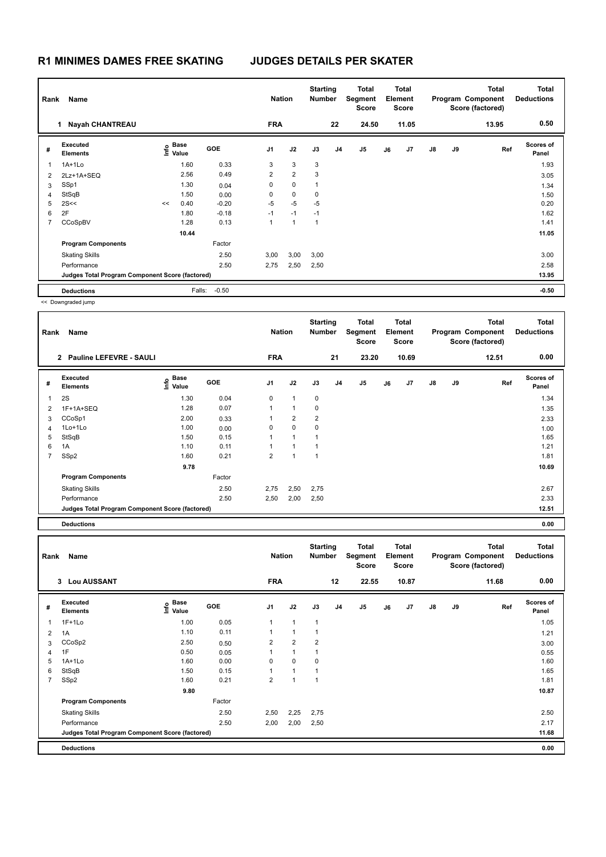| Rank           | Name                                            |    |                           |            |                | <b>Nation</b>  | <b>Starting</b><br><b>Number</b> |                | Total<br>Segment<br><b>Score</b> |    | <b>Total</b><br>Element<br><b>Score</b> |    |    | <b>Total</b><br>Program Component<br>Score (factored) | <b>Total</b><br><b>Deductions</b> |
|----------------|-------------------------------------------------|----|---------------------------|------------|----------------|----------------|----------------------------------|----------------|----------------------------------|----|-----------------------------------------|----|----|-------------------------------------------------------|-----------------------------------|
|                | <b>Nayah CHANTREAU</b><br>1.                    |    |                           |            | <b>FRA</b>     |                |                                  | 22             | 24.50                            |    | 11.05                                   |    |    | 13.95                                                 | 0.50                              |
| #              | Executed<br><b>Elements</b>                     |    | Base<br>e Base<br>⊆ Value | <b>GOE</b> | J <sub>1</sub> | J2             | J3                               | J <sub>4</sub> | J5                               | J6 | J7                                      | J8 | J9 | Ref                                                   | Scores of<br>Panel                |
| $\mathbf{1}$   | $1A+1Lo$                                        |    | 1.60                      | 0.33       | 3              | 3              | 3                                |                |                                  |    |                                         |    |    |                                                       | 1.93                              |
| 2              | 2Lz+1A+SEQ                                      |    | 2.56                      | 0.49       | $\overline{2}$ | $\overline{2}$ | 3                                |                |                                  |    |                                         |    |    |                                                       | 3.05                              |
| 3              | SSp1                                            |    | 1.30                      | 0.04       | 0              | $\mathbf 0$    | 1                                |                |                                  |    |                                         |    |    |                                                       | 1.34                              |
| 4              | StSqB                                           |    | 1.50                      | 0.00       | 0              | $\mathbf 0$    | 0                                |                |                                  |    |                                         |    |    |                                                       | 1.50                              |
| 5              | 2S<<                                            | << | 0.40                      | $-0.20$    | $-5$           | $-5$           | $-5$                             |                |                                  |    |                                         |    |    |                                                       | 0.20                              |
| 6              | 2F                                              |    | 1.80                      | $-0.18$    | $-1$           | $-1$           | $-1$                             |                |                                  |    |                                         |    |    |                                                       | 1.62                              |
| $\overline{7}$ | CCoSpBV                                         |    | 1.28                      | 0.13       | 1              | 1              | 1                                |                |                                  |    |                                         |    |    |                                                       | 1.41                              |
|                |                                                 |    | 10.44                     |            |                |                |                                  |                |                                  |    |                                         |    |    |                                                       | 11.05                             |
|                | <b>Program Components</b>                       |    |                           | Factor     |                |                |                                  |                |                                  |    |                                         |    |    |                                                       |                                   |
|                | <b>Skating Skills</b>                           |    |                           | 2.50       | 3,00           | 3,00           | 3,00                             |                |                                  |    |                                         |    |    |                                                       | 3.00                              |
|                | Performance                                     |    |                           | 2.50       | 2,75           | 2,50           | 2,50                             |                |                                  |    |                                         |    |    |                                                       | 2.58                              |
|                | Judges Total Program Component Score (factored) |    |                           |            |                |                |                                  |                |                                  |    |                                         |    |    |                                                       | 13.95                             |
|                | <b>Deductions</b>                               |    | Falls:                    | $-0.50$    |                |                |                                  |                |                                  |    |                                         |    |    |                                                       | $-0.50$                           |

| Rank           | Name                                            |                                  |            | <b>Nation</b>  |                | <b>Starting</b><br><b>Number</b> |    | Total<br>Segment<br><b>Score</b> |    | <b>Total</b><br>Element<br><b>Score</b> |               |    | <b>Total</b><br>Program Component<br>Score (factored) | Total<br><b>Deductions</b> |
|----------------|-------------------------------------------------|----------------------------------|------------|----------------|----------------|----------------------------------|----|----------------------------------|----|-----------------------------------------|---------------|----|-------------------------------------------------------|----------------------------|
|                | 2 Pauline LEFEVRE - SAULI                       |                                  |            | <b>FRA</b>     |                |                                  | 21 | 23.20                            |    | 10.69                                   |               |    | 12.51                                                 | 0.00                       |
| #              | Executed<br><b>Elements</b>                     | <b>Base</b><br>e Base<br>⊆ Value | <b>GOE</b> | J <sub>1</sub> | J2             | J3                               | J4 | J5                               | J6 | J7                                      | $\mathsf{J}8$ | J9 | Ref                                                   | Scores of<br>Panel         |
| $\mathbf{1}$   | 2S                                              | 1.30                             | 0.04       | 0              | $\mathbf{1}$   | 0                                |    |                                  |    |                                         |               |    |                                                       | 1.34                       |
| 2              | 1F+1A+SEQ                                       | 1.28                             | 0.07       | 1              | $\mathbf{1}$   | 0                                |    |                                  |    |                                         |               |    |                                                       | 1.35                       |
| 3              | CCoSp1                                          | 2.00                             | 0.33       | 1              | $\overline{2}$ | 2                                |    |                                  |    |                                         |               |    |                                                       | 2.33                       |
| 4              | 1Lo+1Lo                                         | 1.00                             | 0.00       | 0              | $\mathbf 0$    | 0                                |    |                                  |    |                                         |               |    |                                                       | 1.00                       |
| 5              | StSqB                                           | 1.50                             | 0.15       | 1              | $\mathbf{1}$   | 1                                |    |                                  |    |                                         |               |    |                                                       | 1.65                       |
| 6              | 1A                                              | 1.10                             | 0.11       | 1              | 1              | $\mathbf{1}$                     |    |                                  |    |                                         |               |    |                                                       | 1.21                       |
| $\overline{7}$ | SSp2                                            | 1.60                             | 0.21       | $\overline{2}$ | 1              | $\overline{1}$                   |    |                                  |    |                                         |               |    |                                                       | 1.81                       |
|                |                                                 | 9.78                             |            |                |                |                                  |    |                                  |    |                                         |               |    |                                                       | 10.69                      |
|                | <b>Program Components</b>                       |                                  | Factor     |                |                |                                  |    |                                  |    |                                         |               |    |                                                       |                            |
|                | <b>Skating Skills</b>                           |                                  | 2.50       | 2,75           | 2,50           | 2,75                             |    |                                  |    |                                         |               |    |                                                       | 2.67                       |
|                | Performance                                     |                                  | 2.50       | 2,50           | 2,00           | 2,50                             |    |                                  |    |                                         |               |    |                                                       | 2.33                       |
|                | Judges Total Program Component Score (factored) |                                  |            |                |                |                                  |    |                                  |    |                                         |               |    |                                                       | 12.51                      |
|                |                                                 |                                  |            |                |                |                                  |    |                                  |    |                                         |               |    |                                                       |                            |

**Deductions 0.00**

|                | Name<br>Rank                                    |                           |        | <b>Nation</b>           |                      | <b>Starting</b><br><b>Number</b> |                | <b>Total</b><br>Segment<br><b>Score</b> |    | Total<br>Element<br><b>Score</b> |               |    | <b>Total</b><br>Program Component<br>Score (factored) | <b>Total</b><br><b>Deductions</b> |
|----------------|-------------------------------------------------|---------------------------|--------|-------------------------|----------------------|----------------------------------|----------------|-----------------------------------------|----|----------------------------------|---------------|----|-------------------------------------------------------|-----------------------------------|
|                | 3 Lou AUSSANT                                   |                           |        | <b>FRA</b>              |                      |                                  | 12             | 22.55                                   |    | 10.87                            |               |    | 11.68                                                 | 0.00                              |
| #              | Executed<br><b>Elements</b>                     | Base<br>o Base<br>E Value | GOE    | J <sub>1</sub>          | J2                   | J3                               | J <sub>4</sub> | J <sub>5</sub>                          | J6 | J7                               | $\mathsf{J}8$ | J9 | Ref                                                   | Scores of<br>Panel                |
| 1              | $1F+1Lo$                                        | 1.00                      | 0.05   | 1                       | $\blacktriangleleft$ | 1                                |                |                                         |    |                                  |               |    |                                                       | 1.05                              |
| 2              | 1A                                              | 1.10                      | 0.11   | 1                       | $\overline{1}$       | 1                                |                |                                         |    |                                  |               |    |                                                       | 1.21                              |
| 3              | CCoSp2                                          | 2.50                      | 0.50   | $\overline{\mathbf{c}}$ | $\overline{2}$       | $\overline{2}$                   |                |                                         |    |                                  |               |    |                                                       | 3.00                              |
| 4              | 1F                                              | 0.50                      | 0.05   | 1                       | $\overline{1}$       | 1                                |                |                                         |    |                                  |               |    |                                                       | 0.55                              |
| 5              | $1A+1Lo$                                        | 1.60                      | 0.00   | 0                       | $\mathbf 0$          | 0                                |                |                                         |    |                                  |               |    |                                                       | 1.60                              |
| 6              | StSqB                                           | 1.50                      | 0.15   | 1                       | 1                    |                                  |                |                                         |    |                                  |               |    |                                                       | 1.65                              |
| $\overline{7}$ | SSp2                                            | 1.60                      | 0.21   | $\overline{2}$          | 1                    | 1                                |                |                                         |    |                                  |               |    |                                                       | 1.81                              |
|                |                                                 | 9.80                      |        |                         |                      |                                  |                |                                         |    |                                  |               |    |                                                       | 10.87                             |
|                | <b>Program Components</b>                       |                           | Factor |                         |                      |                                  |                |                                         |    |                                  |               |    |                                                       |                                   |
|                | <b>Skating Skills</b>                           |                           | 2.50   | 2,50                    | 2,25                 | 2,75                             |                |                                         |    |                                  |               |    |                                                       | 2.50                              |
|                | Performance                                     |                           | 2.50   | 2,00                    | 2,00                 | 2,50                             |                |                                         |    |                                  |               |    |                                                       | 2.17                              |
|                | Judges Total Program Component Score (factored) |                           |        |                         |                      |                                  |                |                                         |    |                                  |               |    |                                                       | 11.68                             |
|                | <b>Deductions</b>                               |                           |        |                         |                      |                                  |                |                                         |    |                                  |               |    |                                                       | 0.00                              |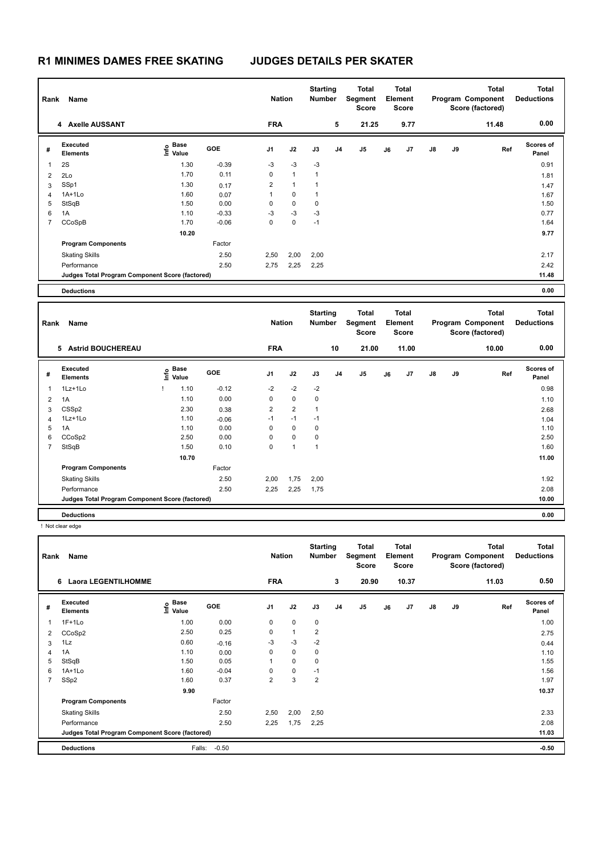| 0.00<br><b>FRA</b><br>5<br>21.25<br>9.77<br>4 Axelle AUSSANT<br>11.48<br>Executed<br><b>Scores of</b><br>e Base<br>⊆ Value<br>GOE<br>J <sub>5</sub><br>J8<br>J9<br>J1<br>J2<br>J3<br>J <sub>4</sub><br>J7<br>Ref<br>J6<br>#<br><b>Elements</b><br>Panel<br>$-0.39$<br>$-3$<br>$-3$<br>0.91<br>2S<br>1.30<br>$-3$<br>$\mathbf{1}$<br>1.70<br>0.11<br>0<br>$\mathbf{1}$<br>$\mathbf{1}$<br>2Lo<br>$\overline{\mathbf{c}}$<br>1.81<br>SSp1<br>$\overline{2}$<br>$\mathbf{1}$<br>1.30<br>$\mathbf{1}$<br>3<br>0.17<br>1.47<br>$1A+1Lo$<br>1.60<br>1<br>$\mathbf 0$<br>$\mathbf{1}$<br>0.07<br>1.67<br>$\overline{4}$<br>0<br>0<br>StSqB<br>1.50<br>0.00<br>$\mathbf 0$<br>1.50<br>5<br>1.10<br>$-0.33$<br>$-3$<br>$-3$<br>$-3$<br>0.77<br>6<br>1A<br>$\overline{7}$<br>CCoSpB<br>1.70<br>$-0.06$<br>0<br>$\mathbf 0$<br>$-1$<br>1.64<br>10.20<br>9.77<br><b>Program Components</b><br>Factor<br>2.50<br>2,50<br>2,00<br>2,00<br>2.17<br><b>Skating Skills</b><br>Performance<br>2.50<br>2,75<br>2,25<br>2,25<br>2.42<br>11.48<br>Judges Total Program Component Score (factored)<br>0.00<br><b>Deductions</b><br><b>Starting</b><br><b>Total</b><br><b>Total</b><br><b>Total</b><br><b>Total</b><br><b>Nation</b><br>Segment<br>Element<br>Program Component<br>Number<br><b>Deductions</b><br>Rank<br>Name<br><b>Score</b><br><b>Score</b><br>Score (factored)<br>0.00<br><b>FRA</b><br>10<br>21.00<br>11.00<br>10.00<br>5 Astrid BOUCHEREAU<br><b>Executed</b><br>Scores of<br>Base<br>lnfo<br>GOE<br>J2<br>J3<br>J <sub>4</sub><br>J5<br>J8<br>J9<br>J1<br>J7<br>Ref<br>#<br>J6<br>Value<br><b>Elements</b><br>Panel<br>1Lz+1Lo<br>$-0.12$<br>$-2$<br>$-2$<br>$-2$<br>0.98<br>Ţ<br>1.10<br>1<br>1.10<br>0.00<br>0<br>$\mathbf 0$<br>0<br>$\overline{2}$<br>1A<br>1.10<br>2.30<br>2<br>$\overline{2}$<br>CSSp2<br>$\mathbf{1}$<br>0.38<br>3<br>2.68<br>1.10<br>$-1$<br>$-1$<br>1Lz+1Lo<br>$-1$<br>$-0.06$<br>$\overline{4}$<br>1.04<br>1A<br>0<br>$\pmb{0}$<br>0<br>5<br>1.10<br>0.00<br>1.10<br>CCoSp2<br>2.50<br>0<br>$\pmb{0}$<br>0<br>6<br>0.00<br>2.50<br>0<br>$\mathbf{1}$<br>$\overline{7}$<br>StSqB<br>1.50<br>0.10<br>$\mathbf{1}$<br>1.60<br>10.70<br>11.00<br><b>Program Components</b><br>Factor | Rank | Name                  |      | <b>Nation</b> |      | <b>Starting</b><br><b>Number</b> | <b>Total</b><br>Segment<br><b>Score</b> | <b>Total</b><br>Element<br><b>Score</b> |  | <b>Total</b><br>Program Component<br>Score (factored) | <b>Total</b><br><b>Deductions</b> |
|------------------------------------------------------------------------------------------------------------------------------------------------------------------------------------------------------------------------------------------------------------------------------------------------------------------------------------------------------------------------------------------------------------------------------------------------------------------------------------------------------------------------------------------------------------------------------------------------------------------------------------------------------------------------------------------------------------------------------------------------------------------------------------------------------------------------------------------------------------------------------------------------------------------------------------------------------------------------------------------------------------------------------------------------------------------------------------------------------------------------------------------------------------------------------------------------------------------------------------------------------------------------------------------------------------------------------------------------------------------------------------------------------------------------------------------------------------------------------------------------------------------------------------------------------------------------------------------------------------------------------------------------------------------------------------------------------------------------------------------------------------------------------------------------------------------------------------------------------------------------------------------------------------------------------------------------------------------------------------------------------------------------------------------------------------------------------------------------------------------------------------------------------------------------------------------------------------|------|-----------------------|------|---------------|------|----------------------------------|-----------------------------------------|-----------------------------------------|--|-------------------------------------------------------|-----------------------------------|
|                                                                                                                                                                                                                                                                                                                                                                                                                                                                                                                                                                                                                                                                                                                                                                                                                                                                                                                                                                                                                                                                                                                                                                                                                                                                                                                                                                                                                                                                                                                                                                                                                                                                                                                                                                                                                                                                                                                                                                                                                                                                                                                                                                                                            |      |                       |      |               |      |                                  |                                         |                                         |  |                                                       |                                   |
|                                                                                                                                                                                                                                                                                                                                                                                                                                                                                                                                                                                                                                                                                                                                                                                                                                                                                                                                                                                                                                                                                                                                                                                                                                                                                                                                                                                                                                                                                                                                                                                                                                                                                                                                                                                                                                                                                                                                                                                                                                                                                                                                                                                                            |      |                       |      |               |      |                                  |                                         |                                         |  |                                                       |                                   |
|                                                                                                                                                                                                                                                                                                                                                                                                                                                                                                                                                                                                                                                                                                                                                                                                                                                                                                                                                                                                                                                                                                                                                                                                                                                                                                                                                                                                                                                                                                                                                                                                                                                                                                                                                                                                                                                                                                                                                                                                                                                                                                                                                                                                            |      |                       |      |               |      |                                  |                                         |                                         |  |                                                       |                                   |
|                                                                                                                                                                                                                                                                                                                                                                                                                                                                                                                                                                                                                                                                                                                                                                                                                                                                                                                                                                                                                                                                                                                                                                                                                                                                                                                                                                                                                                                                                                                                                                                                                                                                                                                                                                                                                                                                                                                                                                                                                                                                                                                                                                                                            |      |                       |      |               |      |                                  |                                         |                                         |  |                                                       |                                   |
|                                                                                                                                                                                                                                                                                                                                                                                                                                                                                                                                                                                                                                                                                                                                                                                                                                                                                                                                                                                                                                                                                                                                                                                                                                                                                                                                                                                                                                                                                                                                                                                                                                                                                                                                                                                                                                                                                                                                                                                                                                                                                                                                                                                                            |      |                       |      |               |      |                                  |                                         |                                         |  |                                                       |                                   |
|                                                                                                                                                                                                                                                                                                                                                                                                                                                                                                                                                                                                                                                                                                                                                                                                                                                                                                                                                                                                                                                                                                                                                                                                                                                                                                                                                                                                                                                                                                                                                                                                                                                                                                                                                                                                                                                                                                                                                                                                                                                                                                                                                                                                            |      |                       |      |               |      |                                  |                                         |                                         |  |                                                       |                                   |
|                                                                                                                                                                                                                                                                                                                                                                                                                                                                                                                                                                                                                                                                                                                                                                                                                                                                                                                                                                                                                                                                                                                                                                                                                                                                                                                                                                                                                                                                                                                                                                                                                                                                                                                                                                                                                                                                                                                                                                                                                                                                                                                                                                                                            |      |                       |      |               |      |                                  |                                         |                                         |  |                                                       |                                   |
|                                                                                                                                                                                                                                                                                                                                                                                                                                                                                                                                                                                                                                                                                                                                                                                                                                                                                                                                                                                                                                                                                                                                                                                                                                                                                                                                                                                                                                                                                                                                                                                                                                                                                                                                                                                                                                                                                                                                                                                                                                                                                                                                                                                                            |      |                       |      |               |      |                                  |                                         |                                         |  |                                                       |                                   |
|                                                                                                                                                                                                                                                                                                                                                                                                                                                                                                                                                                                                                                                                                                                                                                                                                                                                                                                                                                                                                                                                                                                                                                                                                                                                                                                                                                                                                                                                                                                                                                                                                                                                                                                                                                                                                                                                                                                                                                                                                                                                                                                                                                                                            |      |                       |      |               |      |                                  |                                         |                                         |  |                                                       |                                   |
|                                                                                                                                                                                                                                                                                                                                                                                                                                                                                                                                                                                                                                                                                                                                                                                                                                                                                                                                                                                                                                                                                                                                                                                                                                                                                                                                                                                                                                                                                                                                                                                                                                                                                                                                                                                                                                                                                                                                                                                                                                                                                                                                                                                                            |      |                       |      |               |      |                                  |                                         |                                         |  |                                                       |                                   |
|                                                                                                                                                                                                                                                                                                                                                                                                                                                                                                                                                                                                                                                                                                                                                                                                                                                                                                                                                                                                                                                                                                                                                                                                                                                                                                                                                                                                                                                                                                                                                                                                                                                                                                                                                                                                                                                                                                                                                                                                                                                                                                                                                                                                            |      |                       |      |               |      |                                  |                                         |                                         |  |                                                       |                                   |
|                                                                                                                                                                                                                                                                                                                                                                                                                                                                                                                                                                                                                                                                                                                                                                                                                                                                                                                                                                                                                                                                                                                                                                                                                                                                                                                                                                                                                                                                                                                                                                                                                                                                                                                                                                                                                                                                                                                                                                                                                                                                                                                                                                                                            |      |                       |      |               |      |                                  |                                         |                                         |  |                                                       |                                   |
|                                                                                                                                                                                                                                                                                                                                                                                                                                                                                                                                                                                                                                                                                                                                                                                                                                                                                                                                                                                                                                                                                                                                                                                                                                                                                                                                                                                                                                                                                                                                                                                                                                                                                                                                                                                                                                                                                                                                                                                                                                                                                                                                                                                                            |      |                       |      |               |      |                                  |                                         |                                         |  |                                                       |                                   |
|                                                                                                                                                                                                                                                                                                                                                                                                                                                                                                                                                                                                                                                                                                                                                                                                                                                                                                                                                                                                                                                                                                                                                                                                                                                                                                                                                                                                                                                                                                                                                                                                                                                                                                                                                                                                                                                                                                                                                                                                                                                                                                                                                                                                            |      |                       |      |               |      |                                  |                                         |                                         |  |                                                       |                                   |
|                                                                                                                                                                                                                                                                                                                                                                                                                                                                                                                                                                                                                                                                                                                                                                                                                                                                                                                                                                                                                                                                                                                                                                                                                                                                                                                                                                                                                                                                                                                                                                                                                                                                                                                                                                                                                                                                                                                                                                                                                                                                                                                                                                                                            |      |                       |      |               |      |                                  |                                         |                                         |  |                                                       |                                   |
|                                                                                                                                                                                                                                                                                                                                                                                                                                                                                                                                                                                                                                                                                                                                                                                                                                                                                                                                                                                                                                                                                                                                                                                                                                                                                                                                                                                                                                                                                                                                                                                                                                                                                                                                                                                                                                                                                                                                                                                                                                                                                                                                                                                                            |      |                       |      |               |      |                                  |                                         |                                         |  |                                                       |                                   |
|                                                                                                                                                                                                                                                                                                                                                                                                                                                                                                                                                                                                                                                                                                                                                                                                                                                                                                                                                                                                                                                                                                                                                                                                                                                                                                                                                                                                                                                                                                                                                                                                                                                                                                                                                                                                                                                                                                                                                                                                                                                                                                                                                                                                            |      |                       |      |               |      |                                  |                                         |                                         |  |                                                       |                                   |
|                                                                                                                                                                                                                                                                                                                                                                                                                                                                                                                                                                                                                                                                                                                                                                                                                                                                                                                                                                                                                                                                                                                                                                                                                                                                                                                                                                                                                                                                                                                                                                                                                                                                                                                                                                                                                                                                                                                                                                                                                                                                                                                                                                                                            |      |                       |      |               |      |                                  |                                         |                                         |  |                                                       |                                   |
|                                                                                                                                                                                                                                                                                                                                                                                                                                                                                                                                                                                                                                                                                                                                                                                                                                                                                                                                                                                                                                                                                                                                                                                                                                                                                                                                                                                                                                                                                                                                                                                                                                                                                                                                                                                                                                                                                                                                                                                                                                                                                                                                                                                                            |      |                       |      |               |      |                                  |                                         |                                         |  |                                                       |                                   |
|                                                                                                                                                                                                                                                                                                                                                                                                                                                                                                                                                                                                                                                                                                                                                                                                                                                                                                                                                                                                                                                                                                                                                                                                                                                                                                                                                                                                                                                                                                                                                                                                                                                                                                                                                                                                                                                                                                                                                                                                                                                                                                                                                                                                            |      |                       |      |               |      |                                  |                                         |                                         |  |                                                       |                                   |
|                                                                                                                                                                                                                                                                                                                                                                                                                                                                                                                                                                                                                                                                                                                                                                                                                                                                                                                                                                                                                                                                                                                                                                                                                                                                                                                                                                                                                                                                                                                                                                                                                                                                                                                                                                                                                                                                                                                                                                                                                                                                                                                                                                                                            |      |                       |      |               |      |                                  |                                         |                                         |  |                                                       |                                   |
|                                                                                                                                                                                                                                                                                                                                                                                                                                                                                                                                                                                                                                                                                                                                                                                                                                                                                                                                                                                                                                                                                                                                                                                                                                                                                                                                                                                                                                                                                                                                                                                                                                                                                                                                                                                                                                                                                                                                                                                                                                                                                                                                                                                                            |      |                       |      |               |      |                                  |                                         |                                         |  |                                                       |                                   |
|                                                                                                                                                                                                                                                                                                                                                                                                                                                                                                                                                                                                                                                                                                                                                                                                                                                                                                                                                                                                                                                                                                                                                                                                                                                                                                                                                                                                                                                                                                                                                                                                                                                                                                                                                                                                                                                                                                                                                                                                                                                                                                                                                                                                            |      |                       |      |               |      |                                  |                                         |                                         |  |                                                       |                                   |
|                                                                                                                                                                                                                                                                                                                                                                                                                                                                                                                                                                                                                                                                                                                                                                                                                                                                                                                                                                                                                                                                                                                                                                                                                                                                                                                                                                                                                                                                                                                                                                                                                                                                                                                                                                                                                                                                                                                                                                                                                                                                                                                                                                                                            |      |                       |      |               |      |                                  |                                         |                                         |  |                                                       |                                   |
|                                                                                                                                                                                                                                                                                                                                                                                                                                                                                                                                                                                                                                                                                                                                                                                                                                                                                                                                                                                                                                                                                                                                                                                                                                                                                                                                                                                                                                                                                                                                                                                                                                                                                                                                                                                                                                                                                                                                                                                                                                                                                                                                                                                                            |      |                       |      |               |      |                                  |                                         |                                         |  |                                                       |                                   |
|                                                                                                                                                                                                                                                                                                                                                                                                                                                                                                                                                                                                                                                                                                                                                                                                                                                                                                                                                                                                                                                                                                                                                                                                                                                                                                                                                                                                                                                                                                                                                                                                                                                                                                                                                                                                                                                                                                                                                                                                                                                                                                                                                                                                            |      |                       |      |               |      |                                  |                                         |                                         |  |                                                       |                                   |
|                                                                                                                                                                                                                                                                                                                                                                                                                                                                                                                                                                                                                                                                                                                                                                                                                                                                                                                                                                                                                                                                                                                                                                                                                                                                                                                                                                                                                                                                                                                                                                                                                                                                                                                                                                                                                                                                                                                                                                                                                                                                                                                                                                                                            |      |                       |      |               |      |                                  |                                         |                                         |  |                                                       |                                   |
|                                                                                                                                                                                                                                                                                                                                                                                                                                                                                                                                                                                                                                                                                                                                                                                                                                                                                                                                                                                                                                                                                                                                                                                                                                                                                                                                                                                                                                                                                                                                                                                                                                                                                                                                                                                                                                                                                                                                                                                                                                                                                                                                                                                                            |      |                       |      |               |      |                                  |                                         |                                         |  |                                                       |                                   |
|                                                                                                                                                                                                                                                                                                                                                                                                                                                                                                                                                                                                                                                                                                                                                                                                                                                                                                                                                                                                                                                                                                                                                                                                                                                                                                                                                                                                                                                                                                                                                                                                                                                                                                                                                                                                                                                                                                                                                                                                                                                                                                                                                                                                            |      |                       |      |               |      |                                  |                                         |                                         |  |                                                       |                                   |
| 2.50<br>2,25<br>2.08<br>Performance<br>2,25<br>1,75                                                                                                                                                                                                                                                                                                                                                                                                                                                                                                                                                                                                                                                                                                                                                                                                                                                                                                                                                                                                                                                                                                                                                                                                                                                                                                                                                                                                                                                                                                                                                                                                                                                                                                                                                                                                                                                                                                                                                                                                                                                                                                                                                        |      |                       |      |               |      |                                  |                                         |                                         |  |                                                       |                                   |
| 10.00<br>Judges Total Program Component Score (factored)                                                                                                                                                                                                                                                                                                                                                                                                                                                                                                                                                                                                                                                                                                                                                                                                                                                                                                                                                                                                                                                                                                                                                                                                                                                                                                                                                                                                                                                                                                                                                                                                                                                                                                                                                                                                                                                                                                                                                                                                                                                                                                                                                   |      | <b>Skating Skills</b> | 2.50 | 2,00          | 1,75 | 2,00                             |                                         |                                         |  |                                                       | 1.92                              |

**Deductions 0.00** ! Not clear edge

**Starting Total Total Total Total Rank Name Nation Number Program Component Deductions Element Segment Score Score Score (factored) 6 Laora LEGENTILHOMME FRA 3 20.90 10.37 11.03 0.50 Executed Scores of Base**  1F+1Lo 1.00 **Info # GOE J1 J2 J3 J4 J5 J6 J7 J8 J9 Ref Elements Panel Value**  1 1.00 0.00 0 0 0 2 CCoSp2 2.50 0.25 0 1 2 2.75  $3 \quad 1$ Lz 0.60  $-0.16$   $-3$   $-3$   $-2$  0.44 4 1A 1.10 0.00 0 0 0 1.10 1.10 5 StSqB 1.50 0.05 1 0 0 1.55 6 1A+1Lo 1.60 -0.04 0 0 -1 1.56 7 SSp2 1.60 0.37 2 3 2 1.97  **9.90 10.37 Program Components**  Factor Skating Skills 2,50 2,00 2,50 2.50 2.33 Performance 2.50 2,25 1,75 2,25 2.08 **Judges Total Program Component Score (factored) 11.03Deductions** Falls: -0.50 **-0.50**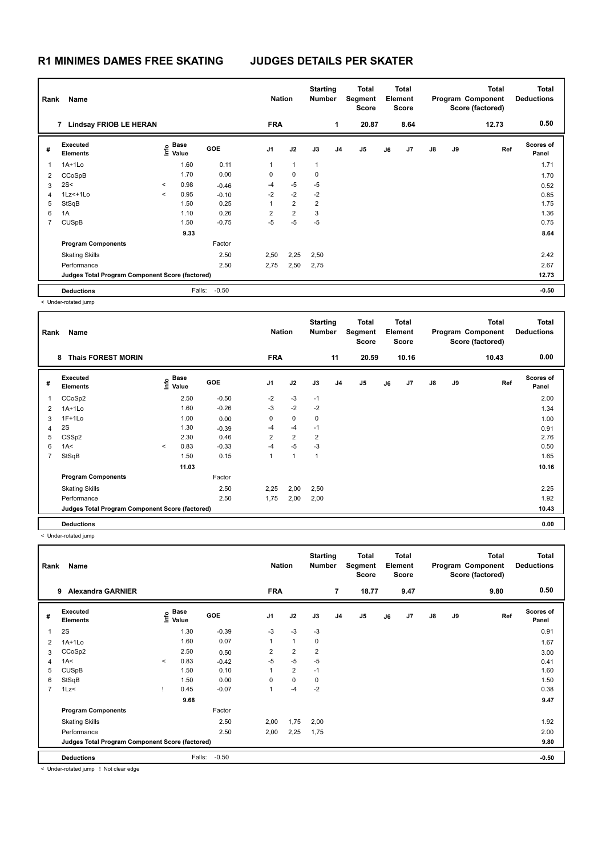| Rank                     | Name                                            |         |                                      |            | <b>Nation</b>  |                | <b>Starting</b><br><b>Number</b> |                | <b>Total</b><br>Segment<br><b>Score</b> |    | <b>Total</b><br>Element<br><b>Score</b> |               |    | <b>Total</b><br>Program Component<br>Score (factored) | <b>Total</b><br><b>Deductions</b> |
|--------------------------|-------------------------------------------------|---------|--------------------------------------|------------|----------------|----------------|----------------------------------|----------------|-----------------------------------------|----|-----------------------------------------|---------------|----|-------------------------------------------------------|-----------------------------------|
|                          | 7 Lindsay FRIOB LE HERAN                        |         |                                      |            | <b>FRA</b>     |                |                                  | 1              | 20.87                                   |    | 8.64                                    |               |    | 12.73                                                 | 0.50                              |
| #                        | Executed<br><b>Elements</b>                     |         | Base<br>은 <sup>Base</sup><br>⊆ Value | <b>GOE</b> | J <sub>1</sub> | J2             | J3                               | J <sub>4</sub> | J5                                      | J6 | J7                                      | $\mathsf{J}8$ | J9 | Ref                                                   | <b>Scores of</b><br>Panel         |
| $\overline{\phantom{a}}$ | 1A+1Lo                                          |         | 1.60                                 | 0.11       | 1              | $\mathbf{1}$   | $\mathbf{1}$                     |                |                                         |    |                                         |               |    |                                                       | 1.71                              |
| 2                        | CCoSpB                                          |         | 1.70                                 | 0.00       | 0              | $\mathbf 0$    | 0                                |                |                                         |    |                                         |               |    |                                                       | 1.70                              |
| 3                        | 2S<                                             | $\prec$ | 0.98                                 | $-0.46$    | $-4$           | $-5$           | $-5$                             |                |                                         |    |                                         |               |    |                                                       | 0.52                              |
| 4                        | $1Lz<+1L0$                                      | $\prec$ | 0.95                                 | $-0.10$    | $-2$           | $-2$           | $-2$                             |                |                                         |    |                                         |               |    |                                                       | 0.85                              |
| 5                        | StSqB                                           |         | 1.50                                 | 0.25       | 1              | $\overline{2}$ | $\overline{2}$                   |                |                                         |    |                                         |               |    |                                                       | 1.75                              |
| 6                        | 1A                                              |         | 1.10                                 | 0.26       | $\overline{2}$ | $\overline{2}$ | 3                                |                |                                         |    |                                         |               |    |                                                       | 1.36                              |
| $\overline{7}$           | <b>CUSpB</b>                                    |         | 1.50                                 | $-0.75$    | $-5$           | $-5$           | $-5$                             |                |                                         |    |                                         |               |    |                                                       | 0.75                              |
|                          |                                                 |         | 9.33                                 |            |                |                |                                  |                |                                         |    |                                         |               |    |                                                       | 8.64                              |
|                          | <b>Program Components</b>                       |         |                                      | Factor     |                |                |                                  |                |                                         |    |                                         |               |    |                                                       |                                   |
|                          | <b>Skating Skills</b>                           |         |                                      | 2.50       | 2,50           | 2,25           | 2,50                             |                |                                         |    |                                         |               |    |                                                       | 2.42                              |
|                          | Performance                                     |         |                                      | 2.50       | 2,75           | 2,50           | 2,75                             |                |                                         |    |                                         |               |    |                                                       | 2.67                              |
|                          | Judges Total Program Component Score (factored) |         |                                      |            |                |                |                                  |                |                                         |    |                                         |               |    |                                                       | 12.73                             |
|                          | <b>Deductions</b>                               |         | Falls:                               | $-0.50$    |                |                |                                  |                |                                         |    |                                         |               |    |                                                       | $-0.50$                           |

< Under-rotated jump

| Rank           | Name                                            |         |                   |         | <b>Nation</b>  |                | <b>Starting</b><br><b>Number</b> |                | Total<br>Segment<br><b>Score</b> |    | <b>Total</b><br>Element<br><b>Score</b> |               |    | <b>Total</b><br>Program Component<br>Score (factored) | <b>Total</b><br><b>Deductions</b> |
|----------------|-------------------------------------------------|---------|-------------------|---------|----------------|----------------|----------------------------------|----------------|----------------------------------|----|-----------------------------------------|---------------|----|-------------------------------------------------------|-----------------------------------|
|                | <b>Thais FOREST MORIN</b><br>8                  |         |                   |         | <b>FRA</b>     |                |                                  | 11             | 20.59                            |    | 10.16                                   |               |    | 10.43                                                 | 0.00                              |
| #              | Executed<br><b>Elements</b>                     |         | e Base<br>⊆ Value | GOE     | J <sub>1</sub> | J2             | J3                               | J <sub>4</sub> | J <sub>5</sub>                   | J6 | J7                                      | $\mathsf{J}8$ | J9 | Ref                                                   | Scores of<br>Panel                |
|                | CCoSp2                                          |         | 2.50              | $-0.50$ | $-2$           | $-3$           | $-1$                             |                |                                  |    |                                         |               |    |                                                       | 2.00                              |
| 2              | $1A+1Lo$                                        |         | 1.60              | $-0.26$ | $-3$           | $-2$           | $-2$                             |                |                                  |    |                                         |               |    |                                                       | 1.34                              |
| 3              | $1F+1Lo$                                        |         | 1.00              | 0.00    | 0              | 0              | 0                                |                |                                  |    |                                         |               |    |                                                       | 1.00                              |
| 4              | 2S                                              |         | 1.30              | $-0.39$ | $-4$           | -4             | $-1$                             |                |                                  |    |                                         |               |    |                                                       | 0.91                              |
| 5              | CSSp2                                           |         | 2.30              | 0.46    | $\overline{2}$ | $\overline{2}$ | $\overline{2}$                   |                |                                  |    |                                         |               |    |                                                       | 2.76                              |
| 6              | 1A<                                             | $\prec$ | 0.83              | $-0.33$ | $-4$           | $-5$           | $-3$                             |                |                                  |    |                                         |               |    |                                                       | 0.50                              |
| $\overline{7}$ | StSqB                                           |         | 1.50              | 0.15    | 1              | $\overline{1}$ | $\overline{1}$                   |                |                                  |    |                                         |               |    |                                                       | 1.65                              |
|                |                                                 |         | 11.03             |         |                |                |                                  |                |                                  |    |                                         |               |    |                                                       | 10.16                             |
|                | <b>Program Components</b>                       |         |                   | Factor  |                |                |                                  |                |                                  |    |                                         |               |    |                                                       |                                   |
|                | <b>Skating Skills</b>                           |         |                   | 2.50    | 2,25           | 2,00           | 2,50                             |                |                                  |    |                                         |               |    |                                                       | 2.25                              |
|                | Performance                                     |         |                   | 2.50    | 1,75           | 2,00           | 2,00                             |                |                                  |    |                                         |               |    |                                                       | 1.92                              |
|                | Judges Total Program Component Score (factored) |         |                   |         |                |                |                                  |                |                                  |    |                                         |               |    |                                                       | 10.43                             |
|                | <b>Deductions</b>                               |         |                   |         |                |                |                                  |                |                                  |    |                                         |               |    |                                                       | 0.00                              |

< Under-rotated jump

| Rank           | Name                                            |         |                           |         | <b>Nation</b>  |                | <b>Starting</b><br><b>Number</b> |                | Total<br>Segment<br><b>Score</b> |    | <b>Total</b><br>Element<br><b>Score</b> |               |    | Total<br>Program Component<br>Score (factored) | <b>Total</b><br><b>Deductions</b> |
|----------------|-------------------------------------------------|---------|---------------------------|---------|----------------|----------------|----------------------------------|----------------|----------------------------------|----|-----------------------------------------|---------------|----|------------------------------------------------|-----------------------------------|
|                | <b>Alexandra GARNIER</b><br>9                   |         |                           |         | <b>FRA</b>     |                |                                  | $\overline{7}$ | 18.77                            |    | 9.47                                    |               |    | 9.80                                           | 0.50                              |
| #              | Executed<br><b>Elements</b>                     |         | Base<br>o Base<br>⊆ Value | GOE     | J <sub>1</sub> | J2             | J3                               | J <sub>4</sub> | J5                               | J6 | J7                                      | $\mathsf{J}8$ | J9 | Ref                                            | <b>Scores of</b><br>Panel         |
| -1             | 2S                                              |         | 1.30                      | $-0.39$ | $-3$           | $-3$           | $-3$                             |                |                                  |    |                                         |               |    |                                                | 0.91                              |
| 2              | $1A+1Lo$                                        |         | 1.60                      | 0.07    | $\mathbf{1}$   | $\mathbf{1}$   | 0                                |                |                                  |    |                                         |               |    |                                                | 1.67                              |
| 3              | CCoSp2                                          |         | 2.50                      | 0.50    | $\overline{2}$ | $\overline{2}$ | 2                                |                |                                  |    |                                         |               |    |                                                | 3.00                              |
| 4              | 1A<                                             | $\prec$ | 0.83                      | $-0.42$ | $-5$           | $-5$           | $-5$                             |                |                                  |    |                                         |               |    |                                                | 0.41                              |
| 5              | <b>CUSpB</b>                                    |         | 1.50                      | 0.10    | $\mathbf{1}$   | $\overline{2}$ | $-1$                             |                |                                  |    |                                         |               |    |                                                | 1.60                              |
| 6              | StSqB                                           |         | 1.50                      | 0.00    | $\Omega$       | $\mathbf 0$    | 0                                |                |                                  |    |                                         |               |    |                                                | 1.50                              |
| $\overline{7}$ | 1Lz<                                            |         | 0.45                      | $-0.07$ | 1              | $-4$           | $-2$                             |                |                                  |    |                                         |               |    |                                                | 0.38                              |
|                |                                                 |         | 9.68                      |         |                |                |                                  |                |                                  |    |                                         |               |    |                                                | 9.47                              |
|                | <b>Program Components</b>                       |         |                           | Factor  |                |                |                                  |                |                                  |    |                                         |               |    |                                                |                                   |
|                | <b>Skating Skills</b>                           |         |                           | 2.50    | 2,00           | 1,75           | 2,00                             |                |                                  |    |                                         |               |    |                                                | 1.92                              |
|                | Performance                                     |         |                           | 2.50    | 2,00           | 2,25           | 1,75                             |                |                                  |    |                                         |               |    |                                                | 2.00                              |
|                | Judges Total Program Component Score (factored) |         |                           |         |                |                |                                  |                |                                  |    |                                         |               |    |                                                | 9.80                              |
|                | <b>Deductions</b>                               |         | Falls:                    | $-0.50$ |                |                |                                  |                |                                  |    |                                         |               |    |                                                | $-0.50$                           |

< Under-rotated jump ! Not clear edge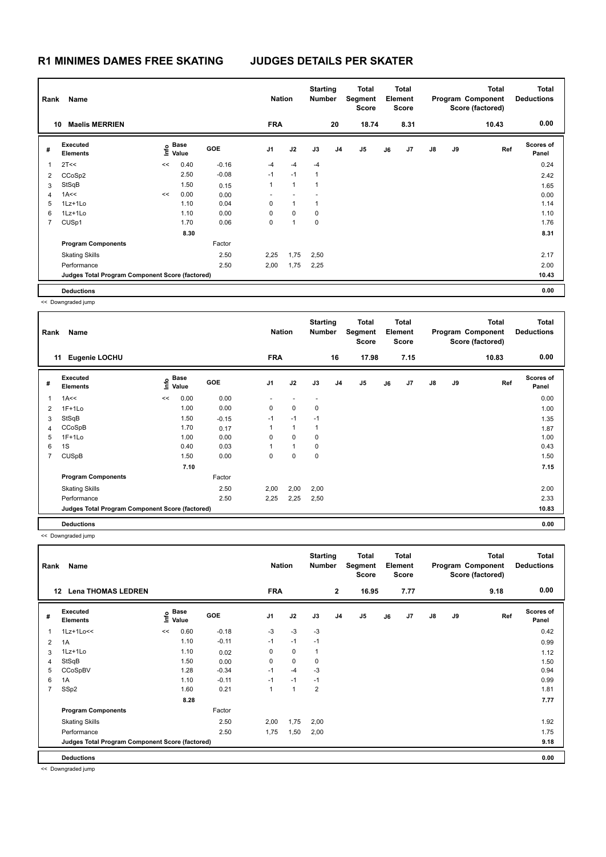| Rank           | Name<br><b>Maelis MERRIEN</b><br>10             |    |                   |            | <b>Nation</b>  |              | <b>Starting</b><br><b>Number</b> |                | Total<br>Segment<br><b>Score</b> |    | <b>Total</b><br>Element<br><b>Score</b> |               |    | <b>Total</b><br>Program Component<br>Score (factored) | <b>Total</b><br><b>Deductions</b> |
|----------------|-------------------------------------------------|----|-------------------|------------|----------------|--------------|----------------------------------|----------------|----------------------------------|----|-----------------------------------------|---------------|----|-------------------------------------------------------|-----------------------------------|
|                |                                                 |    |                   |            | <b>FRA</b>     |              |                                  | 20             | 18.74                            |    | 8.31                                    |               |    | 10.43                                                 | 0.00                              |
| #              | Executed<br><b>Elements</b>                     |    | e Base<br>⊆ Value | <b>GOE</b> | J <sub>1</sub> | J2           | J3                               | J <sub>4</sub> | J <sub>5</sub>                   | J6 | J7                                      | $\mathsf{J}8$ | J9 | Ref                                                   | <b>Scores of</b><br>Panel         |
|                | 2T<<                                            | << | 0.40              | $-0.16$    | $-4$           | $-4$         | $-4$                             |                |                                  |    |                                         |               |    |                                                       | 0.24                              |
| 2              | CCoSp2                                          |    | 2.50              | $-0.08$    | $-1$           | $-1$         | 1                                |                |                                  |    |                                         |               |    |                                                       | 2.42                              |
| 3              | StSqB                                           |    | 1.50              | 0.15       | 1              | $\mathbf{1}$ | $\overline{1}$                   |                |                                  |    |                                         |               |    |                                                       | 1.65                              |
| 4              | 1A<<                                            | << | 0.00              | 0.00       |                |              |                                  |                |                                  |    |                                         |               |    |                                                       | 0.00                              |
| 5              | 1Lz+1Lo                                         |    | 1.10              | 0.04       | 0              | $\mathbf{1}$ | 1                                |                |                                  |    |                                         |               |    |                                                       | 1.14                              |
| 6              | 1Lz+1Lo                                         |    | 1.10              | 0.00       | 0              | $\mathbf 0$  | 0                                |                |                                  |    |                                         |               |    |                                                       | 1.10                              |
| $\overline{7}$ | CUSp1                                           |    | 1.70              | 0.06       | 0              | 1            | 0                                |                |                                  |    |                                         |               |    |                                                       | 1.76                              |
|                |                                                 |    | 8.30              |            |                |              |                                  |                |                                  |    |                                         |               |    |                                                       | 8.31                              |
|                | <b>Program Components</b>                       |    |                   | Factor     |                |              |                                  |                |                                  |    |                                         |               |    |                                                       |                                   |
|                | <b>Skating Skills</b>                           |    |                   | 2.50       | 2,25           | 1,75         | 2,50                             |                |                                  |    |                                         |               |    |                                                       | 2.17                              |
|                | Performance                                     |    |                   | 2.50       | 2,00           | 1,75         | 2,25                             |                |                                  |    |                                         |               |    |                                                       | 2.00                              |
|                | Judges Total Program Component Score (factored) |    |                   |            |                |              |                                  |                |                                  |    |                                         |               |    |                                                       | 10.43                             |
|                | <b>Deductions</b>                               |    |                   |            |                |              |                                  |                |                                  |    |                                         |               |    |                                                       | 0.00                              |

| Rank           | Name                                            |    |                                  |            | <b>Nation</b>  |              | <b>Starting</b><br><b>Number</b> |                | Total<br>Segment<br><b>Score</b> |    | Total<br>Element<br><b>Score</b> |               |    | <b>Total</b><br>Program Component<br>Score (factored) | <b>Total</b><br><b>Deductions</b> |
|----------------|-------------------------------------------------|----|----------------------------------|------------|----------------|--------------|----------------------------------|----------------|----------------------------------|----|----------------------------------|---------------|----|-------------------------------------------------------|-----------------------------------|
|                | Eugenie LOCHU<br>11                             |    |                                  |            | <b>FRA</b>     |              |                                  | 16             | 17.98                            |    | 7.15                             |               |    | 10.83                                                 | 0.00                              |
| #              | Executed<br><b>Elements</b>                     |    | <b>Base</b><br>e Base<br>⊑ Value | <b>GOE</b> | J <sub>1</sub> | J2           | J3                               | J <sub>4</sub> | J5                               | J6 | J7                               | $\mathsf{J}8$ | J9 | Ref                                                   | <b>Scores of</b><br>Panel         |
| 1              | 1A<<                                            | << | 0.00                             | 0.00       |                |              |                                  |                |                                  |    |                                  |               |    |                                                       | 0.00                              |
| 2              | $1F+1Lo$                                        |    | 1.00                             | 0.00       | 0              | $\mathbf 0$  | 0                                |                |                                  |    |                                  |               |    |                                                       | 1.00                              |
| 3              | StSqB                                           |    | 1.50                             | $-0.15$    | $-1$           | $-1$         | $-1$                             |                |                                  |    |                                  |               |    |                                                       | 1.35                              |
| 4              | CCoSpB                                          |    | 1.70                             | 0.17       | 1              | $\mathbf{1}$ | $\overline{1}$                   |                |                                  |    |                                  |               |    |                                                       | 1.87                              |
| 5              | $1F+1Lo$                                        |    | 1.00                             | 0.00       | 0              | 0            | 0                                |                |                                  |    |                                  |               |    |                                                       | 1.00                              |
| 6              | 1S                                              |    | 0.40                             | 0.03       | 1              | $\mathbf{1}$ | 0                                |                |                                  |    |                                  |               |    |                                                       | 0.43                              |
| $\overline{7}$ | <b>CUSpB</b>                                    |    | 1.50                             | 0.00       | 0              | 0            | 0                                |                |                                  |    |                                  |               |    |                                                       | 1.50                              |
|                |                                                 |    | 7.10                             |            |                |              |                                  |                |                                  |    |                                  |               |    |                                                       | 7.15                              |
|                | <b>Program Components</b>                       |    |                                  | Factor     |                |              |                                  |                |                                  |    |                                  |               |    |                                                       |                                   |
|                | <b>Skating Skills</b>                           |    |                                  | 2.50       | 2,00           | 2,00         | 2,00                             |                |                                  |    |                                  |               |    |                                                       | 2.00                              |
|                | Performance                                     |    |                                  | 2.50       | 2,25           | 2,25         | 2,50                             |                |                                  |    |                                  |               |    |                                                       | 2.33                              |
|                | Judges Total Program Component Score (factored) |    |                                  |            |                |              |                                  |                |                                  |    |                                  |               |    |                                                       | 10.83                             |
|                | <b>Deductions</b>                               |    |                                  |            |                |              |                                  |                |                                  |    |                                  |               |    |                                                       | 0.00                              |

<< Downgraded jump

| Rank           | Name                                            |    |                   |         | <b>Nation</b>  |                | <b>Starting</b><br><b>Number</b> |                | <b>Total</b><br>Segment<br>Score |    | <b>Total</b><br>Element<br><b>Score</b> |               |    | <b>Total</b><br>Program Component<br>Score (factored) | <b>Total</b><br><b>Deductions</b> |
|----------------|-------------------------------------------------|----|-------------------|---------|----------------|----------------|----------------------------------|----------------|----------------------------------|----|-----------------------------------------|---------------|----|-------------------------------------------------------|-----------------------------------|
| 12             | <b>Lena THOMAS LEDREN</b>                       |    |                   |         | <b>FRA</b>     |                |                                  | $\mathbf{2}$   | 16.95                            |    | 7.77                                    |               |    | 9.18                                                  | 0.00                              |
| #              | Executed<br><b>Elements</b>                     |    | e Base<br>⊆ Value | GOE     | J <sub>1</sub> | J2             | J3                               | J <sub>4</sub> | J <sub>5</sub>                   | J6 | J7                                      | $\mathsf{J}8$ | J9 | Ref                                                   | Scores of<br>Panel                |
| 1              | $1Lz+1Lo<<$                                     | << | 0.60              | $-0.18$ | $-3$           | $-3$           | $-3$                             |                |                                  |    |                                         |               |    |                                                       | 0.42                              |
| $\overline{2}$ | 1A                                              |    | 1.10              | $-0.11$ | $-1$           | $-1$           | $-1$                             |                |                                  |    |                                         |               |    |                                                       | 0.99                              |
| 3              | $1Lz+1Lo$                                       |    | 1.10              | 0.02    | 0              | $\mathbf 0$    | $\mathbf{1}$                     |                |                                  |    |                                         |               |    |                                                       | 1.12                              |
| $\overline{4}$ | StSqB                                           |    | 1.50              | 0.00    | 0              | $\mathbf 0$    | 0                                |                |                                  |    |                                         |               |    |                                                       | 1.50                              |
| 5              | CCoSpBV                                         |    | 1.28              | $-0.34$ | $-1$           | $-4$           | $-3$                             |                |                                  |    |                                         |               |    |                                                       | 0.94                              |
| 6              | 1A                                              |    | 1.10              | $-0.11$ | $-1$           | $-1$           | $-1$                             |                |                                  |    |                                         |               |    |                                                       | 0.99                              |
| $\overline{7}$ | SSp2                                            |    | 1.60              | 0.21    | 1              | $\overline{1}$ | $\overline{2}$                   |                |                                  |    |                                         |               |    |                                                       | 1.81                              |
|                |                                                 |    | 8.28              |         |                |                |                                  |                |                                  |    |                                         |               |    |                                                       | 7.77                              |
|                | <b>Program Components</b>                       |    |                   | Factor  |                |                |                                  |                |                                  |    |                                         |               |    |                                                       |                                   |
|                | <b>Skating Skills</b>                           |    |                   | 2.50    | 2,00           | 1,75           | 2,00                             |                |                                  |    |                                         |               |    |                                                       | 1.92                              |
|                | Performance                                     |    |                   | 2.50    | 1,75           | 1,50           | 2,00                             |                |                                  |    |                                         |               |    |                                                       | 1.75                              |
|                | Judges Total Program Component Score (factored) |    |                   |         |                |                |                                  |                |                                  |    |                                         |               |    |                                                       | 9.18                              |
|                | <b>Deductions</b>                               |    |                   |         |                |                |                                  |                |                                  |    |                                         |               |    |                                                       | 0.00                              |

<< Downgraded jump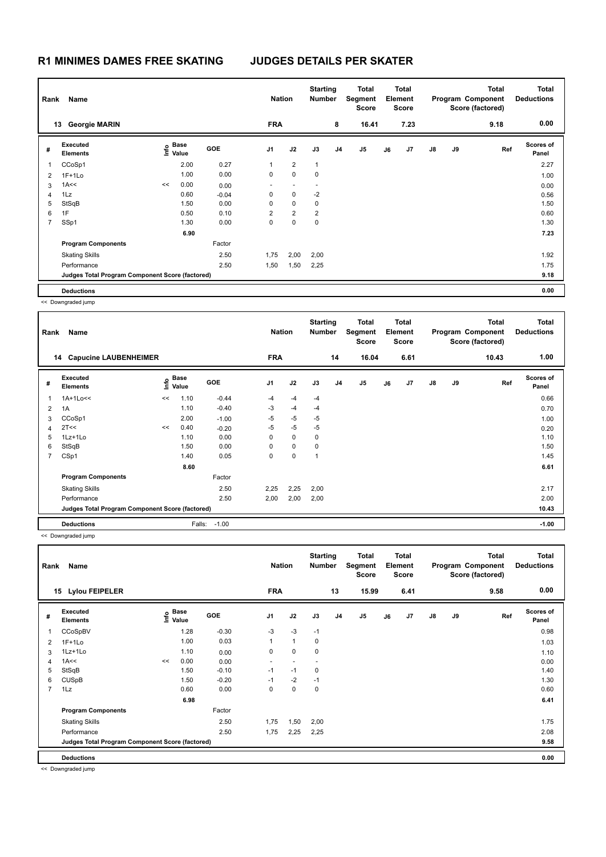| Rank           | Name<br><b>Georgie MARIN</b><br>13              |    |                   |            | <b>Nation</b>            |                          | <b>Starting</b><br><b>Number</b> |                | <b>Total</b><br>Segment<br>Score |    | Total<br>Element<br><b>Score</b> |               |    | <b>Total</b><br>Program Component<br>Score (factored) | <b>Total</b><br><b>Deductions</b> |
|----------------|-------------------------------------------------|----|-------------------|------------|--------------------------|--------------------------|----------------------------------|----------------|----------------------------------|----|----------------------------------|---------------|----|-------------------------------------------------------|-----------------------------------|
|                |                                                 |    |                   |            | <b>FRA</b>               |                          |                                  | 8              | 16.41                            |    | 7.23                             |               |    | 9.18                                                  | 0.00                              |
| #              | Executed<br><b>Elements</b>                     |    | e Base<br>⊆ Value | <b>GOE</b> | J <sub>1</sub>           | J2                       | J3                               | J <sub>4</sub> | J <sub>5</sub>                   | J6 | J7                               | $\mathsf{J}8$ | J9 | Ref                                                   | <b>Scores of</b><br>Panel         |
| 1              | CCoSp1                                          |    | 2.00              | 0.27       | 1                        | $\overline{2}$           | $\mathbf{1}$                     |                |                                  |    |                                  |               |    |                                                       | 2.27                              |
| 2              | $1F+1Lo$                                        |    | 1.00              | 0.00       | 0                        | $\mathbf 0$              | 0                                |                |                                  |    |                                  |               |    |                                                       | 1.00                              |
| 3              | 1A<<                                            | << | 0.00              | 0.00       | $\overline{\phantom{0}}$ | $\overline{\phantom{a}}$ | $\overline{\phantom{a}}$         |                |                                  |    |                                  |               |    |                                                       | 0.00                              |
| 4              | 1Lz                                             |    | 0.60              | $-0.04$    | 0                        | $\mathbf 0$              | $-2$                             |                |                                  |    |                                  |               |    |                                                       | 0.56                              |
| 5              | StSqB                                           |    | 1.50              | 0.00       | 0                        | $\mathbf 0$              | 0                                |                |                                  |    |                                  |               |    |                                                       | 1.50                              |
| 6              | 1F                                              |    | 0.50              | 0.10       | 2                        | $\overline{2}$           | $\overline{\mathbf{c}}$          |                |                                  |    |                                  |               |    |                                                       | 0.60                              |
| $\overline{7}$ | SSp1                                            |    | 1.30              | 0.00       | 0                        | $\pmb{0}$                | 0                                |                |                                  |    |                                  |               |    |                                                       | 1.30                              |
|                |                                                 |    | 6.90              |            |                          |                          |                                  |                |                                  |    |                                  |               |    |                                                       | 7.23                              |
|                | <b>Program Components</b>                       |    |                   | Factor     |                          |                          |                                  |                |                                  |    |                                  |               |    |                                                       |                                   |
|                | <b>Skating Skills</b>                           |    |                   | 2.50       | 1,75                     | 2,00                     | 2,00                             |                |                                  |    |                                  |               |    |                                                       | 1.92                              |
|                | Performance                                     |    |                   | 2.50       | 1,50                     | 1,50                     | 2,25                             |                |                                  |    |                                  |               |    |                                                       | 1.75                              |
|                | Judges Total Program Component Score (factored) |    |                   |            |                          |                          |                                  |                |                                  |    |                                  |               |    |                                                       | 9.18                              |
|                | <b>Deductions</b>                               |    |                   |            |                          |                          |                                  |                |                                  |    |                                  |               |    |                                                       | 0.00                              |

| Rank | Name                                            |      | <b>Nation</b> |            | <b>Starting</b><br><b>Number</b> |             | Total<br>Segment<br><b>Score</b> |                | Total<br>Element<br><b>Score</b> |    |      | <b>Total</b><br>Program Component<br>Score (factored) | <b>Total</b><br><b>Deductions</b> |       |                    |
|------|-------------------------------------------------|------|---------------|------------|----------------------------------|-------------|----------------------------------|----------------|----------------------------------|----|------|-------------------------------------------------------|-----------------------------------|-------|--------------------|
|      | 14 Capucine LAUBENHEIMER                        |      |               |            | <b>FRA</b>                       |             |                                  | 14             | 16.04                            |    | 6.61 |                                                       |                                   | 10.43 | 1.00               |
| #    | Executed<br><b>Elements</b>                     | Info | Base<br>Value | <b>GOE</b> | J <sub>1</sub>                   | J2          | J3                               | J <sub>4</sub> | J <sub>5</sub>                   | J6 | J7   | $\mathsf{J}8$                                         | J9                                | Ref   | Scores of<br>Panel |
|      | 1A+1Lo<<                                        | <<   | 1.10          | $-0.44$    | $-4$                             | $-4$        | $-4$                             |                |                                  |    |      |                                                       |                                   |       | 0.66               |
| 2    | 1A                                              |      | 1.10          | $-0.40$    | -3                               | $-4$        | $-4$                             |                |                                  |    |      |                                                       |                                   |       | 0.70               |
| 3    | CCoSp1                                          |      | 2.00          | $-1.00$    | $-5$                             | $-5$        | $-5$                             |                |                                  |    |      |                                                       |                                   |       | 1.00               |
| 4    | 2T<<                                            | <<   | 0.40          | $-0.20$    | -5                               | $-5$        | $-5$                             |                |                                  |    |      |                                                       |                                   |       | 0.20               |
| 5    | 1Lz+1Lo                                         |      | 1.10          | 0.00       | 0                                | $\mathbf 0$ | 0                                |                |                                  |    |      |                                                       |                                   |       | 1.10               |
| 6    | StSqB                                           |      | 1.50          | 0.00       | 0                                | $\mathbf 0$ | 0                                |                |                                  |    |      |                                                       |                                   |       | 1.50               |
| 7    | CSp1                                            |      | 1.40          | 0.05       | 0                                | 0           | -1                               |                |                                  |    |      |                                                       |                                   |       | 1.45               |
|      |                                                 |      | 8.60          |            |                                  |             |                                  |                |                                  |    |      |                                                       |                                   |       | 6.61               |
|      | <b>Program Components</b>                       |      |               | Factor     |                                  |             |                                  |                |                                  |    |      |                                                       |                                   |       |                    |
|      | <b>Skating Skills</b>                           |      |               | 2.50       | 2,25                             | 2,25        | 2,00                             |                |                                  |    |      |                                                       |                                   |       | 2.17               |
|      | Performance                                     |      |               | 2.50       | 2,00                             | 2,00        | 2,00                             |                |                                  |    |      |                                                       |                                   |       | 2.00               |
|      | Judges Total Program Component Score (factored) |      |               |            |                                  |             |                                  |                |                                  |    |      |                                                       |                                   |       | 10.43              |
|      | <b>Deductions</b>                               |      | Falls:        | $-1.00$    |                                  |             |                                  |                |                                  |    |      |                                                       |                                   |       | $-1.00$            |

<< Downgraded jump

| Rank           | Name                                            |    |                   |            | <b>Nation</b>  |                          | <b>Starting</b><br><b>Number</b> |                | <b>Total</b><br>Segment<br><b>Score</b> |    | <b>Total</b><br>Element<br><b>Score</b> |               |    | <b>Total</b><br>Program Component<br>Score (factored) | <b>Total</b><br><b>Deductions</b> |
|----------------|-------------------------------------------------|----|-------------------|------------|----------------|--------------------------|----------------------------------|----------------|-----------------------------------------|----|-----------------------------------------|---------------|----|-------------------------------------------------------|-----------------------------------|
|                | <b>Lylou FEIPELER</b><br>15                     |    |                   |            | <b>FRA</b>     |                          |                                  | 13             | 15.99                                   |    | 6.41                                    |               |    | 9.58                                                  | 0.00                              |
| #              | Executed<br><b>Elements</b>                     |    | e Base<br>⊑ Value | <b>GOE</b> | J <sub>1</sub> | J2                       | J3                               | J <sub>4</sub> | J <sub>5</sub>                          | J6 | J7                                      | $\mathsf{J}8$ | J9 | Ref                                                   | <b>Scores of</b><br>Panel         |
| $\mathbf{1}$   | CCoSpBV                                         |    | 1.28              | $-0.30$    | $-3$           | $-3$                     | $-1$                             |                |                                         |    |                                         |               |    |                                                       | 0.98                              |
| 2              | $1F+1Lo$                                        |    | 1.00              | 0.03       |                | $\mathbf{1}$             | 0                                |                |                                         |    |                                         |               |    |                                                       | 1.03                              |
| 3              | 1Lz+1Lo                                         |    | 1.10              | 0.00       | 0              | $\mathbf 0$              | 0                                |                |                                         |    |                                         |               |    |                                                       | 1.10                              |
| $\overline{4}$ | 1A<<                                            | << | 0.00              | 0.00       | $\sim$         | $\overline{\phantom{a}}$ | $\overline{\phantom{a}}$         |                |                                         |    |                                         |               |    |                                                       | 0.00                              |
| 5              | StSqB                                           |    | 1.50              | $-0.10$    | $-1$           | $-1$                     | 0                                |                |                                         |    |                                         |               |    |                                                       | 1.40                              |
| 6              | <b>CUSpB</b>                                    |    | 1.50              | $-0.20$    | $-1$           | $-2$                     | $-1$                             |                |                                         |    |                                         |               |    |                                                       | 1.30                              |
| $\overline{7}$ | 1Lz                                             |    | 0.60              | 0.00       | 0              | $\pmb{0}$                | $\pmb{0}$                        |                |                                         |    |                                         |               |    |                                                       | 0.60                              |
|                |                                                 |    | 6.98              |            |                |                          |                                  |                |                                         |    |                                         |               |    |                                                       | 6.41                              |
|                | <b>Program Components</b>                       |    |                   | Factor     |                |                          |                                  |                |                                         |    |                                         |               |    |                                                       |                                   |
|                | <b>Skating Skills</b>                           |    |                   | 2.50       | 1,75           | 1,50                     | 2,00                             |                |                                         |    |                                         |               |    |                                                       | 1.75                              |
|                | Performance                                     |    |                   | 2.50       | 1,75           | 2,25                     | 2,25                             |                |                                         |    |                                         |               |    |                                                       | 2.08                              |
|                | Judges Total Program Component Score (factored) |    |                   |            |                |                          |                                  |                |                                         |    |                                         |               |    |                                                       | 9.58                              |
|                | <b>Deductions</b>                               |    |                   |            |                |                          |                                  |                |                                         |    |                                         |               |    |                                                       | 0.00                              |

<< Downgraded jump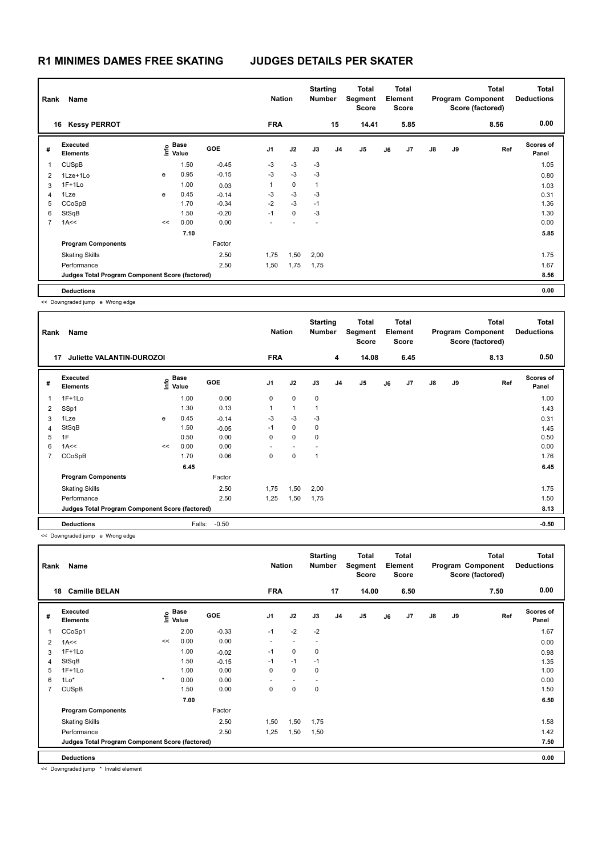| Name<br>Rank   |                                                 |    |                           |            | <b>Nation</b>  |             | <b>Starting</b><br><b>Number</b> |                | Total<br>Segment<br><b>Score</b> |    | <b>Total</b><br>Element<br><b>Score</b> |    |    | <b>Total</b><br>Program Component<br>Score (factored) | <b>Total</b><br><b>Deductions</b> |
|----------------|-------------------------------------------------|----|---------------------------|------------|----------------|-------------|----------------------------------|----------------|----------------------------------|----|-----------------------------------------|----|----|-------------------------------------------------------|-----------------------------------|
|                | <b>Kessy PERROT</b><br>16                       |    |                           |            | <b>FRA</b>     |             |                                  | 15             | 14.41                            |    | 5.85                                    |    |    | 8.56                                                  | 0.00                              |
| #              | Executed<br><b>Elements</b>                     |    | Base<br>e Base<br>⊆ Value | <b>GOE</b> | J <sub>1</sub> | J2          | J3                               | J <sub>4</sub> | J <sub>5</sub>                   | J6 | J7                                      | J8 | J9 | Ref                                                   | Scores of<br>Panel                |
|                | <b>CUSpB</b>                                    |    | 1.50                      | $-0.45$    | $-3$           | $-3$        | $-3$                             |                |                                  |    |                                         |    |    |                                                       | 1.05                              |
| 2              | 1Lze+1Lo                                        | e  | 0.95                      | $-0.15$    | $-3$           | $-3$        | $-3$                             |                |                                  |    |                                         |    |    |                                                       | 0.80                              |
| 3              | $1F+1Lo$                                        |    | 1.00                      | 0.03       | 1              | $\mathbf 0$ | $\overline{1}$                   |                |                                  |    |                                         |    |    |                                                       | 1.03                              |
| 4              | 1Lze                                            | e  | 0.45                      | $-0.14$    | $-3$           | $-3$        | $-3$                             |                |                                  |    |                                         |    |    |                                                       | 0.31                              |
| 5              | CCoSpB                                          |    | 1.70                      | $-0.34$    | $-2$           | $-3$        | $-1$                             |                |                                  |    |                                         |    |    |                                                       | 1.36                              |
| 6              | StSqB                                           |    | 1.50                      | $-0.20$    | $-1$           | $\mathbf 0$ | -3                               |                |                                  |    |                                         |    |    |                                                       | 1.30                              |
| $\overline{7}$ | 1A<<                                            | << | 0.00                      | 0.00       |                |             |                                  |                |                                  |    |                                         |    |    |                                                       | 0.00                              |
|                |                                                 |    | 7.10                      |            |                |             |                                  |                |                                  |    |                                         |    |    |                                                       | 5.85                              |
|                | <b>Program Components</b>                       |    |                           | Factor     |                |             |                                  |                |                                  |    |                                         |    |    |                                                       |                                   |
|                | <b>Skating Skills</b>                           |    |                           | 2.50       | 1,75           | 1,50        | 2,00                             |                |                                  |    |                                         |    |    |                                                       | 1.75                              |
|                | Performance                                     |    |                           | 2.50       | 1,50           | 1,75        | 1,75                             |                |                                  |    |                                         |    |    |                                                       | 1.67                              |
|                | Judges Total Program Component Score (factored) |    |                           |            |                |             |                                  |                |                                  |    |                                         |    |    |                                                       | 8.56                              |
|                | <b>Deductions</b>                               |    |                           |            |                |             |                                  |                |                                  |    |                                         |    |    |                                                       | 0.00                              |

<< Downgraded jump e Wrong edge

|                                                        | SS Downgraded Jump & Wrong eage                 |    |                   |                   |                             |              |                                  |                |                                                  |    |                                                 |               |    |                                                               |                                           |
|--------------------------------------------------------|-------------------------------------------------|----|-------------------|-------------------|-----------------------------|--------------|----------------------------------|----------------|--------------------------------------------------|----|-------------------------------------------------|---------------|----|---------------------------------------------------------------|-------------------------------------------|
| Name<br>Rank<br><b>Juliette VALANTIN-DUROZOI</b><br>17 |                                                 |    |                   |                   | <b>Nation</b><br><b>FRA</b> |              | <b>Starting</b><br><b>Number</b> | 4              | <b>Total</b><br>Segment<br><b>Score</b><br>14.08 |    | <b>Total</b><br>Element<br><b>Score</b><br>6.45 |               |    | <b>Total</b><br>Program Component<br>Score (factored)<br>8.13 | <b>Total</b><br><b>Deductions</b><br>0.50 |
| #                                                      | <b>Executed</b><br><b>Elements</b>              |    | e Base<br>⊑ Value | GOE               | J <sub>1</sub>              | J2           | J3                               | J <sub>4</sub> | J5                                               | J6 | J7                                              | $\mathsf{J}8$ | J9 | Ref                                                           | <b>Scores of</b><br>Panel                 |
| 1                                                      | $1F+1Lo$                                        |    | 1.00              | 0.00              | 0                           | $\mathbf 0$  | $\pmb{0}$                        |                |                                                  |    |                                                 |               |    |                                                               | 1.00                                      |
| 2                                                      | SSp1                                            |    | 1.30              | 0.13              | $\mathbf{1}$                | $\mathbf{1}$ | $\mathbf{1}$                     |                |                                                  |    |                                                 |               |    |                                                               | 1.43                                      |
| 3                                                      | 1Lze                                            | e  | 0.45              | $-0.14$           | -3                          | $-3$         | $-3$                             |                |                                                  |    |                                                 |               |    |                                                               | 0.31                                      |
| 4                                                      | StSqB                                           |    | 1.50              | $-0.05$           | $-1$                        | $\mathbf 0$  | $\pmb{0}$                        |                |                                                  |    |                                                 |               |    |                                                               | 1.45                                      |
| 5                                                      | 1F                                              |    | 0.50              | 0.00              | 0                           | $\mathbf 0$  | $\mathbf 0$                      |                |                                                  |    |                                                 |               |    |                                                               | 0.50                                      |
| 6                                                      | 1A<<                                            | << | 0.00              | 0.00              |                             | $\sim$       |                                  |                |                                                  |    |                                                 |               |    |                                                               | 0.00                                      |
| $\overline{7}$                                         | CCoSpB                                          |    | 1.70              | 0.06              | 0                           | $\mathbf 0$  | $\mathbf{1}$                     |                |                                                  |    |                                                 |               |    |                                                               | 1.76                                      |
|                                                        |                                                 |    | 6.45              |                   |                             |              |                                  |                |                                                  |    |                                                 |               |    |                                                               | 6.45                                      |
|                                                        | <b>Program Components</b>                       |    |                   | Factor            |                             |              |                                  |                |                                                  |    |                                                 |               |    |                                                               |                                           |
|                                                        | <b>Skating Skills</b>                           |    |                   | 2.50              | 1,75                        | 1,50         | 2,00                             |                |                                                  |    |                                                 |               |    |                                                               | 1.75                                      |
|                                                        | Performance                                     |    |                   | 2.50              | 1,25                        | 1,50         | 1,75                             |                |                                                  |    |                                                 |               |    |                                                               | 1.50                                      |
|                                                        | Judges Total Program Component Score (factored) |    |                   |                   |                             |              |                                  |                |                                                  |    |                                                 |               |    |                                                               | 8.13                                      |
|                                                        | <b>Deductions</b>                               |    |                   | $-0.50$<br>Falls: |                             |              |                                  |                |                                                  |    |                                                 |               |    |                                                               | $-0.50$                                   |
|                                                        | << Downgraded jump e Wrong edge                 |    |                   |                   |                             |              |                                  |                |                                                  |    |                                                 |               |    |                                                               |                                           |

| Rank           | Name                                            |         |                   |         | <b>Nation</b>  | <b>Starting</b><br><b>Number</b> |      | Total<br>Segment<br><b>Score</b> |                | <b>Total</b><br>Element<br><b>Score</b> |      |               | <b>Total</b><br>Program Component<br>Score (factored) | <b>Total</b><br><b>Deductions</b> |                    |
|----------------|-------------------------------------------------|---------|-------------------|---------|----------------|----------------------------------|------|----------------------------------|----------------|-----------------------------------------|------|---------------|-------------------------------------------------------|-----------------------------------|--------------------|
| 18             | <b>Camille BELAN</b>                            |         |                   |         | <b>FRA</b>     |                                  |      | 17                               | 14.00          |                                         | 6.50 |               |                                                       | 7.50                              | 0.00               |
| #              | Executed<br><b>Elements</b>                     |         | e Base<br>⊆ Value | GOE     | J <sub>1</sub> | J2                               | J3   | J <sub>4</sub>                   | J <sub>5</sub> | J6                                      | J7   | $\mathsf{J}8$ | J9                                                    | Ref                               | Scores of<br>Panel |
| 1              | CCoSp1                                          |         | 2.00              | $-0.33$ | $-1$           | $-2$                             | $-2$ |                                  |                |                                         |      |               |                                                       |                                   | 1.67               |
| 2              | 1A<<                                            | <<      | 0.00              | 0.00    |                |                                  |      |                                  |                |                                         |      |               |                                                       |                                   | 0.00               |
| 3              | $1F+1Lo$                                        |         | 1.00              | $-0.02$ | $-1$           | $\mathbf 0$                      | 0    |                                  |                |                                         |      |               |                                                       |                                   | 0.98               |
| 4              | StSqB                                           |         | 1.50              | $-0.15$ | $-1$           | $-1$                             | $-1$ |                                  |                |                                         |      |               |                                                       |                                   | 1.35               |
| 5              | $1F+1Lo$                                        |         | 1.00              | 0.00    | 0              | $\mathbf 0$                      | 0    |                                  |                |                                         |      |               |                                                       |                                   | 1.00               |
| 6              | $1*$                                            | $\star$ | 0.00              | 0.00    |                | $\overline{\phantom{a}}$         |      |                                  |                |                                         |      |               |                                                       |                                   | 0.00               |
| $\overline{7}$ | <b>CUSpB</b>                                    |         | 1.50              | 0.00    | 0              | $\mathbf 0$                      | 0    |                                  |                |                                         |      |               |                                                       |                                   | 1.50               |
|                |                                                 |         | 7.00              |         |                |                                  |      |                                  |                |                                         |      |               |                                                       |                                   | 6.50               |
|                | <b>Program Components</b>                       |         |                   | Factor  |                |                                  |      |                                  |                |                                         |      |               |                                                       |                                   |                    |
|                | <b>Skating Skills</b>                           |         |                   | 2.50    | 1,50           | 1,50                             | 1,75 |                                  |                |                                         |      |               |                                                       |                                   | 1.58               |
|                | Performance                                     |         |                   | 2.50    | 1,25           | 1,50                             | 1,50 |                                  |                |                                         |      |               |                                                       |                                   | 1.42               |
|                | Judges Total Program Component Score (factored) |         |                   |         |                |                                  |      |                                  |                |                                         |      |               |                                                       |                                   | 7.50               |
|                | <b>Deductions</b>                               |         |                   |         |                |                                  |      |                                  |                |                                         |      |               |                                                       |                                   | 0.00               |

<< Downgraded jump \* Invalid element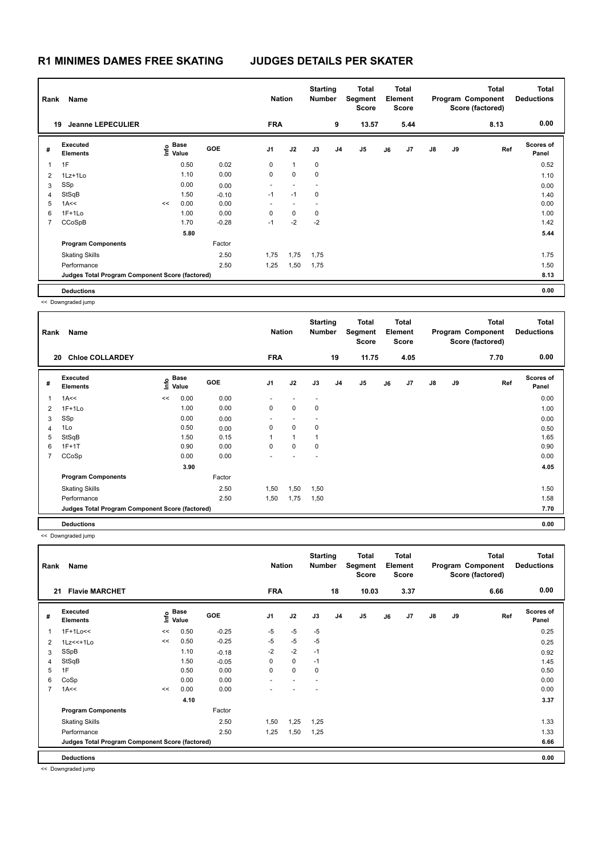| Name<br>Rank   |                                                 |    |                   | <b>Nation</b> |                          | <b>Starting</b><br><b>Number</b> |                          | <b>Total</b><br>Segment<br><b>Score</b> |                | <b>Total</b><br>Element<br><b>Score</b> |      |               | <b>Total</b><br>Program Component<br>Score (factored) | <b>Total</b><br><b>Deductions</b> |                    |
|----------------|-------------------------------------------------|----|-------------------|---------------|--------------------------|----------------------------------|--------------------------|-----------------------------------------|----------------|-----------------------------------------|------|---------------|-------------------------------------------------------|-----------------------------------|--------------------|
| 19             | <b>Jeanne LEPECULIER</b>                        |    |                   |               | <b>FRA</b>               |                                  |                          | 9                                       | 13.57          |                                         | 5.44 |               |                                                       | 8.13                              | 0.00               |
| #              | Executed<br><b>Elements</b>                     |    | e Base<br>⊑ Value | <b>GOE</b>    | J <sub>1</sub>           | J2                               | J3                       | J <sub>4</sub>                          | J <sub>5</sub> | J6                                      | J7   | $\mathsf{J}8$ | J9                                                    | Ref                               | Scores of<br>Panel |
|                | 1F                                              |    | 0.50              | 0.02          | 0                        | $\mathbf{1}$                     | 0                        |                                         |                |                                         |      |               |                                                       |                                   | 0.52               |
| $\overline{2}$ | 1Lz+1Lo                                         |    | 1.10              | 0.00          | 0                        | $\mathbf 0$                      | 0                        |                                         |                |                                         |      |               |                                                       |                                   | 1.10               |
| 3              | SSp                                             |    | 0.00              | 0.00          | $\overline{\phantom{a}}$ | $\overline{\phantom{a}}$         | $\overline{\phantom{a}}$ |                                         |                |                                         |      |               |                                                       |                                   | 0.00               |
| 4              | StSqB                                           |    | 1.50              | $-0.10$       | $-1$                     | $-1$                             | 0                        |                                         |                |                                         |      |               |                                                       |                                   | 1.40               |
| 5              | 1A<<                                            | << | 0.00              | 0.00          | $\overline{\phantom{0}}$ |                                  |                          |                                         |                |                                         |      |               |                                                       |                                   | 0.00               |
| 6              | $1F+1Lo$                                        |    | 1.00              | 0.00          | 0                        | 0                                | 0                        |                                         |                |                                         |      |               |                                                       |                                   | 1.00               |
| $\overline{7}$ | CCoSpB                                          |    | 1.70              | $-0.28$       | $-1$                     | $-2$                             | $-2$                     |                                         |                |                                         |      |               |                                                       |                                   | 1.42               |
|                |                                                 |    | 5.80              |               |                          |                                  |                          |                                         |                |                                         |      |               |                                                       |                                   | 5.44               |
|                | <b>Program Components</b>                       |    |                   | Factor        |                          |                                  |                          |                                         |                |                                         |      |               |                                                       |                                   |                    |
|                | <b>Skating Skills</b>                           |    |                   | 2.50          | 1,75                     | 1,75                             | 1,75                     |                                         |                |                                         |      |               |                                                       |                                   | 1.75               |
|                | Performance                                     |    |                   | 2.50          | 1,25                     | 1,50                             | 1,75                     |                                         |                |                                         |      |               |                                                       |                                   | 1.50               |
|                | Judges Total Program Component Score (factored) |    |                   |               |                          |                                  |                          |                                         |                |                                         |      |               |                                                       |                                   | 8.13               |
|                | <b>Deductions</b>                               |    |                   |               |                          |                                  |                          |                                         |                |                                         |      |               |                                                       |                                   | 0.00               |

| Rank           | Name                                            |    |                           |            | <b>Nation</b>  |                          |                          | <b>Starting</b><br><b>Number</b> | Total<br>Segment<br><b>Score</b> |    | <b>Total</b><br>Element<br><b>Score</b> |               |    | <b>Total</b><br>Program Component<br>Score (factored) | Total<br><b>Deductions</b> |
|----------------|-------------------------------------------------|----|---------------------------|------------|----------------|--------------------------|--------------------------|----------------------------------|----------------------------------|----|-----------------------------------------|---------------|----|-------------------------------------------------------|----------------------------|
|                | <b>Chloe COLLARDEY</b><br>20                    |    |                           |            | <b>FRA</b>     |                          |                          | 19                               | 11.75                            |    | 4.05                                    |               |    | 7.70                                                  | 0.00                       |
| #              | Executed<br><b>Elements</b>                     |    | Base<br>e Base<br>⊆ Value | <b>GOE</b> | J <sub>1</sub> | J2                       | J3                       | J <sub>4</sub>                   | J <sub>5</sub>                   | J6 | J7                                      | $\mathsf{J}8$ | J9 | Ref                                                   | <b>Scores of</b><br>Panel  |
| 1              | 1A<<                                            | << | 0.00                      | 0.00       |                |                          |                          |                                  |                                  |    |                                         |               |    |                                                       | 0.00                       |
| 2              | $1F+1Lo$                                        |    | 1.00                      | 0.00       | 0              | $\mathbf 0$              | 0                        |                                  |                                  |    |                                         |               |    |                                                       | 1.00                       |
| 3              | SSp                                             |    | 0.00                      | 0.00       | ٠              | $\overline{\phantom{a}}$ | $\overline{\phantom{a}}$ |                                  |                                  |    |                                         |               |    |                                                       | 0.00                       |
| 4              | 1Lo                                             |    | 0.50                      | 0.00       | 0              | 0                        | 0                        |                                  |                                  |    |                                         |               |    |                                                       | 0.50                       |
| 5              | StSqB                                           |    | 1.50                      | 0.15       | 1              | $\mathbf{1}$             | 1                        |                                  |                                  |    |                                         |               |    |                                                       | 1.65                       |
| 6              | $1F+1T$                                         |    | 0.90                      | 0.00       | 0              | 0                        | 0                        |                                  |                                  |    |                                         |               |    |                                                       | 0.90                       |
| $\overline{7}$ | CCoSp                                           |    | 0.00                      | 0.00       |                |                          |                          |                                  |                                  |    |                                         |               |    |                                                       | 0.00                       |
|                |                                                 |    | 3.90                      |            |                |                          |                          |                                  |                                  |    |                                         |               |    |                                                       | 4.05                       |
|                | <b>Program Components</b>                       |    |                           | Factor     |                |                          |                          |                                  |                                  |    |                                         |               |    |                                                       |                            |
|                | <b>Skating Skills</b>                           |    |                           | 2.50       | 1,50           | 1,50                     | 1,50                     |                                  |                                  |    |                                         |               |    |                                                       | 1.50                       |
|                | Performance                                     |    |                           | 2.50       | 1,50           | 1,75                     | 1,50                     |                                  |                                  |    |                                         |               |    |                                                       | 1.58                       |
|                | Judges Total Program Component Score (factored) |    |                           |            |                |                          |                          |                                  |                                  |    |                                         |               |    |                                                       | 7.70                       |
|                | <b>Deductions</b>                               |    |                           |            |                |                          |                          |                                  |                                  |    |                                         |               |    |                                                       | 0.00                       |

<< Downgraded jump

| Rank        | Name                                            |    |                                  |         | <b>Nation</b>            |             | <b>Starting</b><br>Number | <b>Total</b><br>Segment<br><b>Score</b> |       | <b>Total</b><br>Element<br><b>Score</b> |      |               | <b>Total</b><br>Program Component<br>Score (factored) | Total<br><b>Deductions</b> |                    |
|-------------|-------------------------------------------------|----|----------------------------------|---------|--------------------------|-------------|---------------------------|-----------------------------------------|-------|-----------------------------------------|------|---------------|-------------------------------------------------------|----------------------------|--------------------|
| 21          | <b>Flavie MARCHET</b>                           |    |                                  |         | <b>FRA</b>               |             |                           | 18                                      | 10.03 |                                         | 3.37 |               |                                                       | 6.66                       | 0.00               |
| #           | Executed<br><b>Elements</b>                     |    | <b>Base</b><br>o Base<br>⊆ Value | GOE     | J <sub>1</sub>           | J2          | J3                        | J <sub>4</sub>                          | J5    | J6                                      | J7   | $\mathsf{J}8$ | J9                                                    | Ref                        | Scores of<br>Panel |
| $\mathbf 1$ | 1F+1Lo<<                                        | << | 0.50                             | $-0.25$ | $-5$                     | $-5$        | $-5$                      |                                         |       |                                         |      |               |                                                       |                            | 0.25               |
| 2           | $1Lz<<+1Lo$                                     | << | 0.50                             | $-0.25$ | $-5$                     | $-5$        | $-5$                      |                                         |       |                                         |      |               |                                                       |                            | 0.25               |
| 3           | SSpB                                            |    | 1.10                             | $-0.18$ | $-2$                     | $-2$        | $-1$                      |                                         |       |                                         |      |               |                                                       |                            | 0.92               |
| 4           | StSqB                                           |    | 1.50                             | $-0.05$ | 0                        | $\mathbf 0$ | $-1$                      |                                         |       |                                         |      |               |                                                       |                            | 1.45               |
| 5           | 1F                                              |    | 0.50                             | 0.00    | 0                        | $\mathbf 0$ | 0                         |                                         |       |                                         |      |               |                                                       |                            | 0.50               |
| 6           | CoSp                                            |    | 0.00                             | 0.00    | $\overline{\phantom{0}}$ |             |                           |                                         |       |                                         |      |               |                                                       |                            | 0.00               |
| 7           | 1A<<                                            | << | 0.00                             | 0.00    |                          |             |                           |                                         |       |                                         |      |               |                                                       |                            | 0.00               |
|             |                                                 |    | 4.10                             |         |                          |             |                           |                                         |       |                                         |      |               |                                                       |                            | 3.37               |
|             | <b>Program Components</b>                       |    |                                  | Factor  |                          |             |                           |                                         |       |                                         |      |               |                                                       |                            |                    |
|             | <b>Skating Skills</b>                           |    |                                  | 2.50    | 1,50                     | 1,25        | 1,25                      |                                         |       |                                         |      |               |                                                       |                            | 1.33               |
|             | Performance                                     |    |                                  | 2.50    | 1,25                     | 1,50        | 1,25                      |                                         |       |                                         |      |               |                                                       |                            | 1.33               |
|             | Judges Total Program Component Score (factored) |    |                                  |         |                          |             |                           |                                         |       |                                         |      |               |                                                       |                            | 6.66               |
|             | <b>Deductions</b>                               |    |                                  |         |                          |             |                           |                                         |       |                                         |      |               |                                                       |                            | 0.00               |

<< Downgraded jump